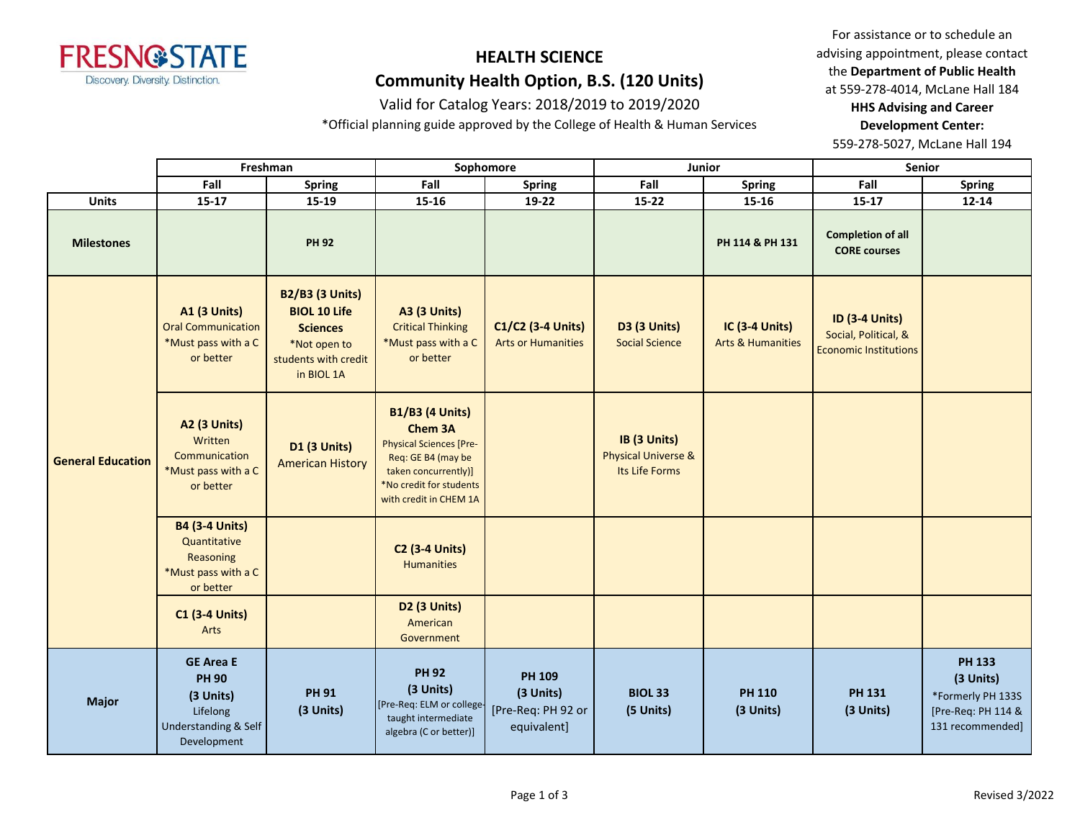

### Valid for Catalog Years: 2018/2019 to 2019/2020

\*Official planning guide approved by the College of Health & Human Services

For assistance or to schedule an advising appointment, please contact the **Department of Public Health** at 559-278-4014, McLane Hall 184 **HHS Advising and Career** 

#### **Development Center:**

|                          |                                                                                                  | Freshman                                                                                                               |                                                                                                                                                                        | Sophomore                                                | Junior                                                           |                                                       | <b>Senior</b>                                                                 |                                                                                           |
|--------------------------|--------------------------------------------------------------------------------------------------|------------------------------------------------------------------------------------------------------------------------|------------------------------------------------------------------------------------------------------------------------------------------------------------------------|----------------------------------------------------------|------------------------------------------------------------------|-------------------------------------------------------|-------------------------------------------------------------------------------|-------------------------------------------------------------------------------------------|
|                          | Fall                                                                                             | <b>Spring</b>                                                                                                          | Fall                                                                                                                                                                   | <b>Spring</b>                                            | Fall                                                             | Spring                                                | Fall                                                                          | <b>Spring</b>                                                                             |
| <b>Units</b>             | $15 - 17$                                                                                        | 15-19                                                                                                                  | 15-16                                                                                                                                                                  | 19-22                                                    | $15 - 22$                                                        | 15-16                                                 | $15 - 17$                                                                     | $12 - 14$                                                                                 |
| <b>Milestones</b>        |                                                                                                  | <b>PH 92</b>                                                                                                           |                                                                                                                                                                        |                                                          |                                                                  | PH 114 & PH 131                                       | <b>Completion of all</b><br><b>CORE courses</b>                               |                                                                                           |
| <b>General Education</b> | <b>A1 (3 Units)</b><br><b>Oral Communication</b><br>*Must pass with a C<br>or better             | <b>B2/B3 (3 Units)</b><br><b>BIOL 10 Life</b><br><b>Sciences</b><br>*Not open to<br>students with credit<br>in BIOL 1A | <b>A3 (3 Units)</b><br><b>Critical Thinking</b><br>*Must pass with a C<br>or better                                                                                    | C1/C2 (3-4 Units)<br><b>Arts or Humanities</b>           | D3 (3 Units)<br><b>Social Science</b>                            | <b>IC (3-4 Units)</b><br><b>Arts &amp; Humanities</b> | <b>ID (3-4 Units)</b><br>Social, Political, &<br><b>Economic Institutions</b> |                                                                                           |
|                          | <b>A2 (3 Units)</b><br>Written<br>Communication<br>*Must pass with a C<br>or better              | <b>D1 (3 Units)</b><br><b>American History</b>                                                                         | <b>B1/B3 (4 Units)</b><br>Chem 3A<br><b>Physical Sciences [Pre-</b><br>Req: GE B4 (may be<br>taken concurrently)]<br>*No credit for students<br>with credit in CHEM 1A |                                                          | IB (3 Units)<br><b>Physical Universe &amp;</b><br>Its Life Forms |                                                       |                                                                               |                                                                                           |
|                          | <b>B4 (3-4 Units)</b><br>Quantitative<br>Reasoning<br>*Must pass with a C<br>or better           |                                                                                                                        | <b>C2 (3-4 Units)</b><br><b>Humanities</b>                                                                                                                             |                                                          |                                                                  |                                                       |                                                                               |                                                                                           |
|                          | <b>C1 (3-4 Units)</b><br>Arts                                                                    |                                                                                                                        | <b>D2 (3 Units)</b><br>American<br>Government                                                                                                                          |                                                          |                                                                  |                                                       |                                                                               |                                                                                           |
| <b>Major</b>             | <b>GE Area E</b><br><b>PH 90</b><br>(3 Units)<br>Lifelong<br>Understanding & Self<br>Development | <b>PH 91</b><br>(3 Units)                                                                                              | <b>PH 92</b><br>(3 Units)<br>[Pre-Req: ELM or college-<br>taught intermediate<br>algebra (C or better)]                                                                | PH 109<br>(3 Units)<br>[Pre-Req: PH 92 or<br>equivalent] | <b>BIOL 33</b><br>(5 Units)                                      | <b>PH 110</b><br>(3 Units)                            | <b>PH 131</b><br>(3 Units)                                                    | <b>PH 133</b><br>(3 Units)<br>*Formerly PH 133S<br>[Pre-Req: PH 114 &<br>131 recommended] |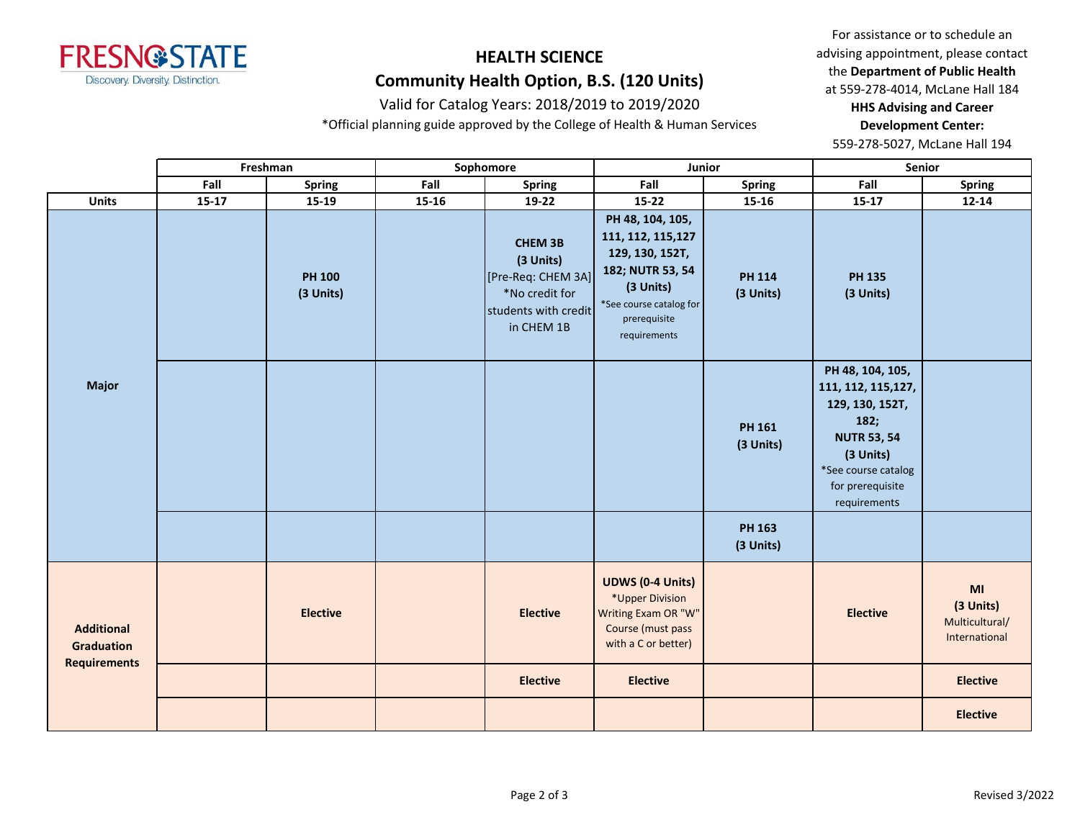

## Valid for Catalog Years: 2018/2019 to 2019/2020

\*Official planning guide approved by the College of Health & Human Services

For assistance or to schedule an advising appointment, please contact the **Department of Public Health** at 559-278-4014, McLane Hall 184 **HHS Advising and Career Development Center:** 

|                                                               |         | Freshman                   |           | Sophomore                                                                                                 | Junior                                                                                                                                                |                            | Senior                                                                                                                                                           |                                                                |
|---------------------------------------------------------------|---------|----------------------------|-----------|-----------------------------------------------------------------------------------------------------------|-------------------------------------------------------------------------------------------------------------------------------------------------------|----------------------------|------------------------------------------------------------------------------------------------------------------------------------------------------------------|----------------------------------------------------------------|
|                                                               | Fall    | <b>Spring</b>              | Fall      | <b>Spring</b>                                                                                             | Fall                                                                                                                                                  | <b>Spring</b>              | Fall                                                                                                                                                             | <b>Spring</b>                                                  |
| Units                                                         | $15-17$ | $15-19$                    | $15 - 16$ | 19-22                                                                                                     | $15 - 22$                                                                                                                                             | $15 - 16$                  | $15 - 17$                                                                                                                                                        | $12 - 14$                                                      |
|                                                               |         | <b>PH 100</b><br>(3 Units) |           | <b>CHEM 3B</b><br>(3 Units)<br>[Pre-Req: CHEM 3A]<br>*No credit for<br>students with credit<br>in CHEM 1B | PH 48, 104, 105,<br>111, 112, 115, 127<br>129, 130, 152T,<br>182; NUTR 53, 54<br>(3 Units)<br>*See course catalog for<br>prerequisite<br>requirements | <b>PH 114</b><br>(3 Units) | <b>PH 135</b><br>(3 Units)                                                                                                                                       |                                                                |
| <b>Major</b>                                                  |         |                            |           |                                                                                                           |                                                                                                                                                       | <b>PH 161</b><br>(3 Units) | PH 48, 104, 105,<br>111, 112, 115, 127,<br>129, 130, 152T,<br>182;<br><b>NUTR 53, 54</b><br>(3 Units)<br>*See course catalog<br>for prerequisite<br>requirements |                                                                |
|                                                               |         |                            |           |                                                                                                           |                                                                                                                                                       | <b>PH 163</b><br>(3 Units) |                                                                                                                                                                  |                                                                |
| <b>Additional</b><br><b>Graduation</b><br><b>Requirements</b> |         | <b>Elective</b>            |           | <b>Elective</b>                                                                                           | <b>UDWS (0-4 Units)</b><br>*Upper Division<br>Writing Exam OR "W"<br>Course (must pass<br>with a C or better)                                         |                            | <b>Elective</b>                                                                                                                                                  | M <sub>l</sub><br>(3 Units)<br>Multicultural/<br>International |
|                                                               |         |                            |           | <b>Elective</b>                                                                                           | <b>Elective</b>                                                                                                                                       |                            |                                                                                                                                                                  | <b>Elective</b>                                                |
|                                                               |         |                            |           |                                                                                                           |                                                                                                                                                       |                            |                                                                                                                                                                  | <b>Elective</b>                                                |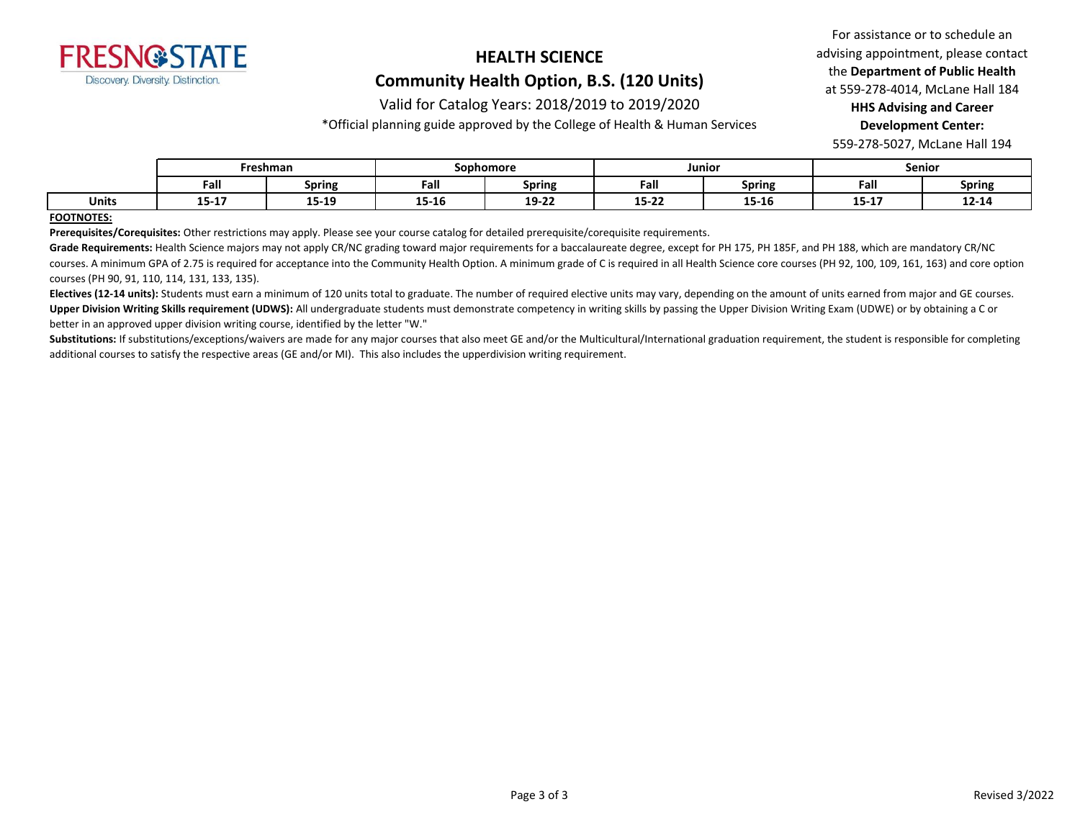

### Valid for Catalog Years: 2018/2019 to 2019/2020

\*Official planning guide approved by the College of Health & Human Services

For assistance or to schedule an advising appointment, please contact the **Department of Public Health** at 559-278-4014, McLane Hall 184 **HHS Advising and Career Development Center:** 

559-278-5027, McLane Hall 194

|       | Freshman                 |               | Sophomore |        | Junior           |                | Senior           |               |
|-------|--------------------------|---------------|-----------|--------|------------------|----------------|------------------|---------------|
|       | Fall                     | <b>Spring</b> | Fall      | Spring | Fall             | <b>Spring</b>  | Fall             | <b>Spring</b> |
| Units | . <del>.</del><br>13-T V | 15-19         | 15-16     | 19-22  | 1 E. 33<br>15-22 | 10.40<br>15-10 | 4 F 4 T<br>15-17 | 12-14         |

#### **FOOTNOTES:**

**Prerequisites/Corequisites:** Other restrictions may apply. Please see your course catalog for detailed prerequisite/corequisite requirements.

Grade Requirements: Health Science majors may not apply CR/NC grading toward major requirements for a baccalaureate degree, except for PH 175, PH 185F, and PH 188, which are mandatory CR/NC courses. A minimum GPA of 2.75 is required for acceptance into the Community Health Option. A minimum grade of C is required in all Health Science core courses (PH 92, 100, 109, 161, 163) and core option courses (PH 90, 91, 110, 114, 131, 133, 135).

**Electives (12-14 units):** Students must earn a minimum of 120 units total to graduate. The number of required elective units may vary, depending on the amount of units earned from major and GE courses. Upper Division Writing Skills requirement (UDWS): All undergraduate students must demonstrate competency in writing skills by passing the Upper Division Writing Exam (UDWE) or by obtaining a C or better in an approved upper division writing course, identified by the letter "W."

Substitutions: If substitutions/exceptions/waivers are made for any major courses that also meet GE and/or the Multicultural/International graduation requirement, the student is responsible for completing additional courses to satisfy the respective areas (GE and/or MI). This also includes the upperdivision writing requirement.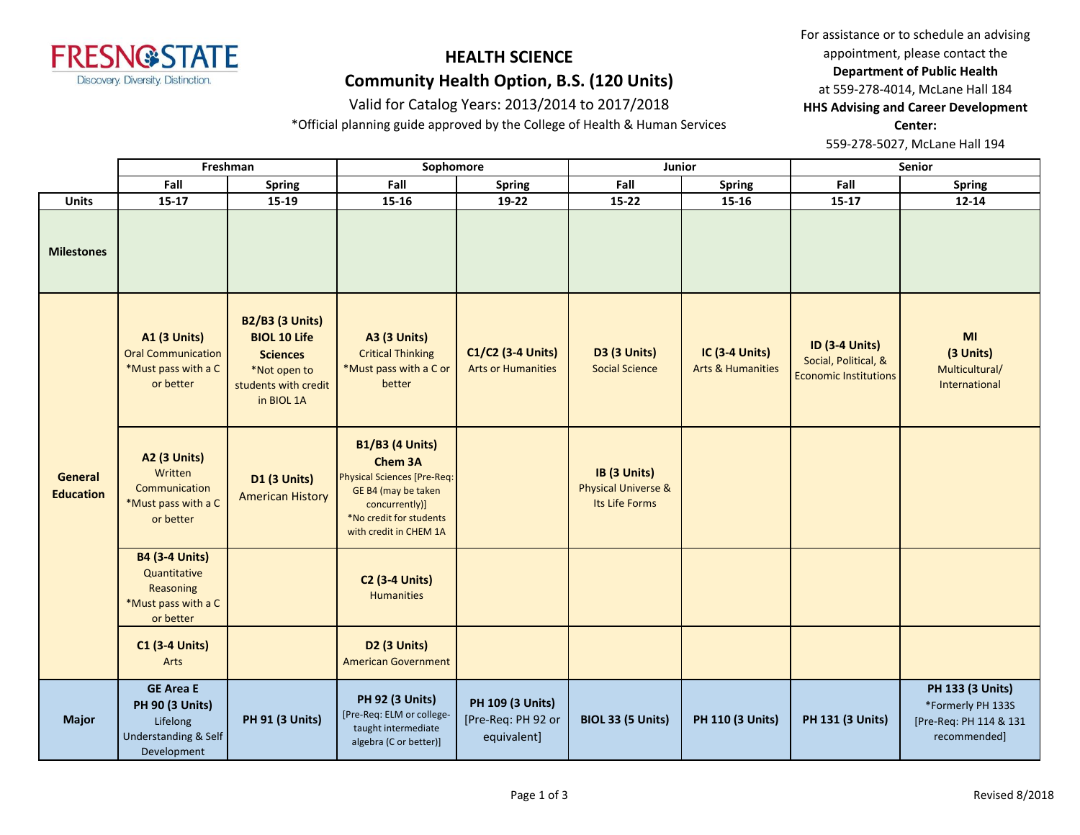

#### Valid for Catalog Years: 2013/2014 to 2017/2018

\*Official planning guide approved by the College of Health & Human Services

For assistance or to schedule an advising appointment, please contact the **Department of Public Health** at 559-278-4014, McLane Hall 184 **HHS Advising and Career Development Center:** 

|                             | Freshman                                                                                      |                                                                                                                        | Sophomore                                                                                                                                                             |                                                       | Junior                                                           |                                                       | Senior                                                                        |                                                                                        |
|-----------------------------|-----------------------------------------------------------------------------------------------|------------------------------------------------------------------------------------------------------------------------|-----------------------------------------------------------------------------------------------------------------------------------------------------------------------|-------------------------------------------------------|------------------------------------------------------------------|-------------------------------------------------------|-------------------------------------------------------------------------------|----------------------------------------------------------------------------------------|
|                             | Fall                                                                                          | <b>Spring</b>                                                                                                          | Fall                                                                                                                                                                  | <b>Spring</b>                                         | Fall                                                             | Spring                                                | Fall                                                                          | <b>Spring</b>                                                                          |
| <b>Units</b>                | $15-17$                                                                                       | 15-19                                                                                                                  | 15-16                                                                                                                                                                 | 19-22                                                 | 15-22                                                            | 15-16                                                 | $15 - 17$                                                                     | 12-14                                                                                  |
| <b>Milestones</b>           |                                                                                               |                                                                                                                        |                                                                                                                                                                       |                                                       |                                                                  |                                                       |                                                                               |                                                                                        |
|                             | <b>A1 (3 Units)</b><br><b>Oral Communication</b><br>*Must pass with a C<br>or better          | <b>B2/B3 (3 Units)</b><br><b>BIOL 10 Life</b><br><b>Sciences</b><br>*Not open to<br>students with credit<br>in BIOL 1A | <b>A3 (3 Units)</b><br><b>Critical Thinking</b><br>*Must pass with a C or<br>better                                                                                   | C1/C2 (3-4 Units)<br><b>Arts or Humanities</b>        | D3 (3 Units)<br><b>Social Science</b>                            | <b>IC (3-4 Units)</b><br><b>Arts &amp; Humanities</b> | <b>ID (3-4 Units)</b><br>Social, Political, &<br><b>Economic Institutions</b> | M <sub>l</sub><br>(3 Units)<br>Multicultural/<br>International                         |
| General<br><b>Education</b> | A2 (3 Units)<br>Written<br>Communication<br>*Must pass with a C<br>or better                  | D1 (3 Units)<br><b>American History</b>                                                                                | <b>B1/B3 (4 Units)</b><br>Chem 3A<br><b>Physical Sciences [Pre-Req:</b><br>GE B4 (may be taken<br>concurrently)]<br>*No credit for students<br>with credit in CHEM 1A |                                                       | IB (3 Units)<br><b>Physical Universe &amp;</b><br>Its Life Forms |                                                       |                                                                               |                                                                                        |
|                             | <b>B4 (3-4 Units)</b><br>Quantitative<br>Reasoning<br>*Must pass with a C<br>or better        |                                                                                                                        | <b>C2 (3-4 Units)</b><br><b>Humanities</b>                                                                                                                            |                                                       |                                                                  |                                                       |                                                                               |                                                                                        |
|                             | <b>C1 (3-4 Units)</b><br><b>Arts</b>                                                          |                                                                                                                        | D <sub>2</sub> (3 Units)<br><b>American Government</b>                                                                                                                |                                                       |                                                                  |                                                       |                                                                               |                                                                                        |
| <b>Major</b>                | <b>GE Area E</b><br><b>PH 90 (3 Units)</b><br>Lifelong<br>Understanding & Self<br>Development | <b>PH 91 (3 Units)</b>                                                                                                 | <b>PH 92 (3 Units)</b><br>[Pre-Req: ELM or college-<br>taught intermediate<br>algebra (C or better)]                                                                  | PH 109 (3 Units)<br>[Pre-Req: PH 92 or<br>equivalent] | BIOL 33 (5 Units)                                                | <b>PH 110 (3 Units)</b>                               | PH 131 (3 Units)                                                              | <b>PH 133 (3 Units)</b><br>*Formerly PH 133S<br>[Pre-Req: PH 114 & 131<br>recommended] |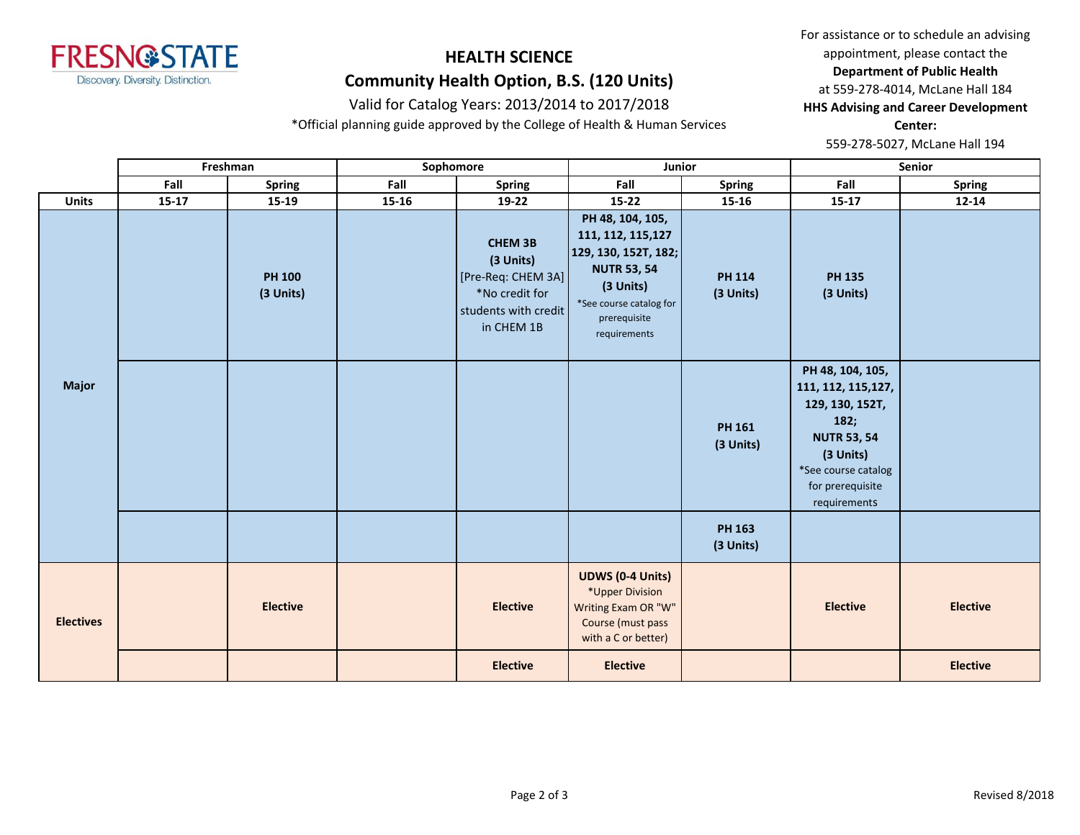

#### Valid for Catalog Years: 2013/2014 to 2017/2018

\*Official planning guide approved by the College of Health & Human Services

For assistance or to schedule an advising appointment, please contact the **Department of Public Health** at 559-278-4014, McLane Hall 184 **HHS Advising and Career Development Center:** 

|                  | Freshman  |                            | Sophomore |                                                                                                           | Junior                                                                                                                                                       |                            | Senior                                                                                                                                                           |                 |
|------------------|-----------|----------------------------|-----------|-----------------------------------------------------------------------------------------------------------|--------------------------------------------------------------------------------------------------------------------------------------------------------------|----------------------------|------------------------------------------------------------------------------------------------------------------------------------------------------------------|-----------------|
|                  | Fall      | <b>Spring</b>              | Fall      | <b>Spring</b>                                                                                             | Fall                                                                                                                                                         | <b>Spring</b>              | Fall                                                                                                                                                             | <b>Spring</b>   |
| <b>Units</b>     | $15 - 17$ | 15-19                      | $15 - 16$ | 19-22                                                                                                     | $15 - 22$                                                                                                                                                    | 15-16                      | 15-17                                                                                                                                                            | $12 - 14$       |
|                  |           | <b>PH 100</b><br>(3 Units) |           | <b>CHEM 3B</b><br>(3 Units)<br>[Pre-Req: CHEM 3A]<br>*No credit for<br>students with credit<br>in CHEM 1B | PH 48, 104, 105,<br>111, 112, 115, 127<br>129, 130, 152T, 182;<br><b>NUTR 53, 54</b><br>(3 Units)<br>*See course catalog for<br>prerequisite<br>requirements | <b>PH 114</b><br>(3 Units) | <b>PH 135</b><br>(3 Units)                                                                                                                                       |                 |
| <b>Major</b>     |           |                            |           |                                                                                                           |                                                                                                                                                              | <b>PH 161</b><br>(3 Units) | PH 48, 104, 105,<br>111, 112, 115, 127,<br>129, 130, 152T,<br>182;<br><b>NUTR 53, 54</b><br>(3 Units)<br>*See course catalog<br>for prerequisite<br>requirements |                 |
|                  |           |                            |           |                                                                                                           |                                                                                                                                                              | <b>PH 163</b><br>(3 Units) |                                                                                                                                                                  |                 |
| <b>Electives</b> |           | <b>Elective</b>            |           | <b>Elective</b>                                                                                           | <b>UDWS (0-4 Units)</b><br>*Upper Division<br>Writing Exam OR "W"<br>Course (must pass<br>with a C or better)                                                |                            | <b>Elective</b>                                                                                                                                                  | <b>Elective</b> |
|                  |           |                            |           | <b>Elective</b>                                                                                           | <b>Elective</b>                                                                                                                                              |                            |                                                                                                                                                                  | <b>Elective</b> |